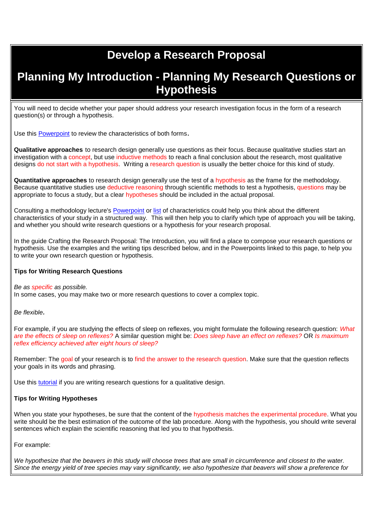# **Develop a Research Proposal**

## **Planning My Introduction - Planning My Research Questions or Hypothesis**

You will need to decide whether your paper should address your research investigation focus in the form of a research question(s) or through a hypothesis.

Use this [Powerpoint](https://www.bcps.org/offices/lis/researchcourse/images/Research_Questions_&__Hypotheses_Overview.ppt) to review the characteristics of both forms.

**Qualitative approaches** to research design generally use questions as their focus. Because qualitative studies start an investigation with a concept, but use inductive methods to reach a final conclusion about the research, most qualitative designs do not start with a hypothesis. Writing a research question is usually the better choice for this kind of study.

**Quantitative approaches** to research design generally use the test of a hypothesis as the frame for the methodology. Because quantitative studies use deductive reasoning through scientific methods to test a hypothesis, questions may be appropriate to focus a study, but a clear hypotheses should be included in the actual proposal.

Consulting a methodology lecture's [Powerpoint](https://www.bcps.org/offices/lis/researchcourse/images/6ProblemsHypotheses.pdf) or [list](https://www.bcps.org/offices/lis/researchcourse/images/research_question.pdf) of characteristics could help you think about the different characteristics of your study in a structured way. This will then help you to clarify which type of approach you will be taking, and whether you should write research questions or a hypothesis for your research proposal.

In the guide Crafting the Research Proposal: The Introduction, you will find a place to compose your research questions or hypothesis. Use the examples and the writing tips described below, and in the Powerpoints linked to this page, to help you to write your own research question or hypothesis.

### **Tips for Writing Research Questions**

*Be as specific as possible.*

In some cases, you may make two or more research questions to cover a complex topic.

*Be flexible.*

For example, if you are studying the effects of sleep on reflexes, you might formulate the following research question: *What are the effects of sleep on reflexes?* A similar question might be: *Does sleep have an effect on reflexes?* OR *Is maximum reflex efficiency achieved after eight hours of sleep?*

Remember: The goal of your research is to find the answer to the research question. Make sure that the question reflects your goals in its words and phrasing.

Use this [tutorial](http://masscommtheory.com/2011/05/05/writing-good-qualitative-research-questions/) if you are writing research questions for a qualitative design.

### **Tips for Writing Hypotheses**

When you state your hypotheses, be sure that the content of the hypothesis matches the experimental procedure. What you write should be the best estimation of the outcome of the lab procedure. Along with the hypothesis, you should write several sentences which explain the scientific reasoning that led you to that hypothesis.

For example:

*We hypothesize that the beavers in this study will choose trees that are small in circumference and closest to the water. Since the energy yield of tree species may vary significantly, we also hypothesize that beavers will show a preference for*